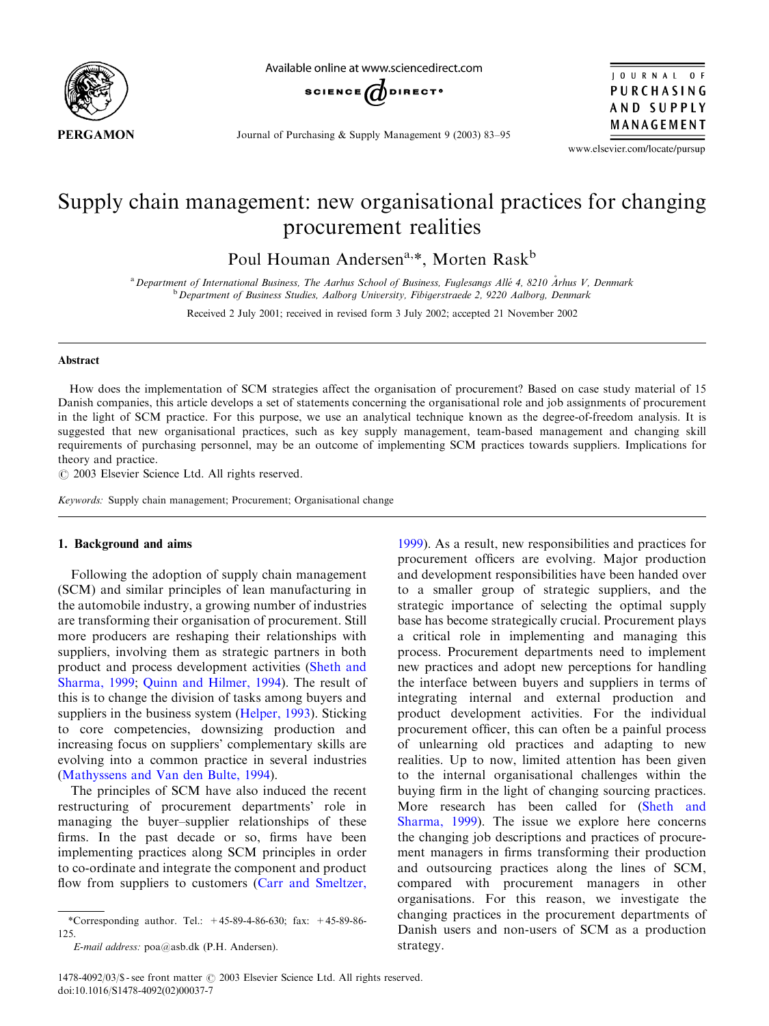

Available online at www.sciencedirect.com



JOURNAL OF **PURCHASING** AND SUPPLY MANAGEMENT

Journal of Purchasing & Supply Management 9 (2003) 83–95

www.elsevier.com/locate/pursup

## Supply chain management: new organisational practices for changing procurement realities

Poul Houman Andersen<sup>a,\*</sup>, Morten Rask<sup>b</sup>

<sup>a</sup> Department of International Business, The Aarhus School of Business, Fuglesangs Allé 4, 8210 Århus V, Denmark <sup>b</sup> Department of Business Studies, Aalborg University, Fibigerstraede 2, 9220 Aalborg, Denmark

Received 2 July 2001; received in revised form 3 July 2002; accepted 21 November 2002

#### Abstract

How does the implementation of SCM strategies affect the organisation of procurement? Based on case study material of 15 Danish companies, this article develops a set of statements concerning the organisational role and job assignments of procurement in the light of SCM practice. For this purpose, we use an analytical technique known as the degree-of-freedom analysis. It is suggested that new organisational practices, such as key supply management, team-based management and changing skill requirements of purchasing personnel, may be an outcome of implementing SCM practices towards suppliers. Implications for theory and practice.

 $\odot$  2003 Elsevier Science Ltd. All rights reserved.

Keywords: Supply chain management; Procurement; Organisational change

### 1. Background and aims

Following the adoption of supply chain management (SCM) and similar principles of lean manufacturing in the automobile industry, a growing number of industries are transforming their organisation of procurement. Still more producers are reshaping their relationships with suppliers, involving them as strategic partners in both product and process development activities ([Sheth and](#page--1-0) [Sharma, 1999](#page--1-0); [Quinn and Hilmer, 1994\)](#page--1-0). The result of this is to change the division of tasks among buyers and suppliers in the business system ([Helper, 1993](#page--1-0)). Sticking to core competencies, downsizing production and increasing focus on suppliers' complementary skills are evolving into a common practice in several industries [\(Mathyssens and Van den Bulte, 1994](#page--1-0)).

The principles of SCM have also induced the recent restructuring of procurement departments' role in managing the buyer–supplier relationships of these firms. In the past decade or so, firms have been implementing practices along SCM principles in order to co-ordinate and integrate the component and product flow from suppliers to customers ([Carr and Smeltzer,](#page--1-0)

\*Corresponding author. Tel.:  $+45-89-4-86-630$ ; fax:  $+45-89-86-630$ 125.

[1999\)](#page--1-0). As a result, new responsibilities and practices for procurement officers are evolving. Major production and development responsibilities have been handed over to a smaller group of strategic suppliers, and the strategic importance of selecting the optimal supply base has become strategically crucial. Procurement plays a critical role in implementing and managing this process. Procurement departments need to implement new practices and adopt new perceptions for handling the interface between buyers and suppliers in terms of integrating internal and external production and product development activities. For the individual procurement officer, this can often be a painful process of unlearning old practices and adapting to new realities. Up to now, limited attention has been given to the internal organisational challenges within the buying firm in the light of changing sourcing practices. More research has been called for [\(Sheth and](#page--1-0) [Sharma, 1999\)](#page--1-0). The issue we explore here concerns the changing job descriptions and practices of procurement managers in firms transforming their production and outsourcing practices along the lines of SCM, compared with procurement managers in other organisations. For this reason, we investigate the changing practices in the procurement departments of Danish users and non-users of SCM as a production strategy.

E-mail address: poa@asb.dk (P.H. Andersen).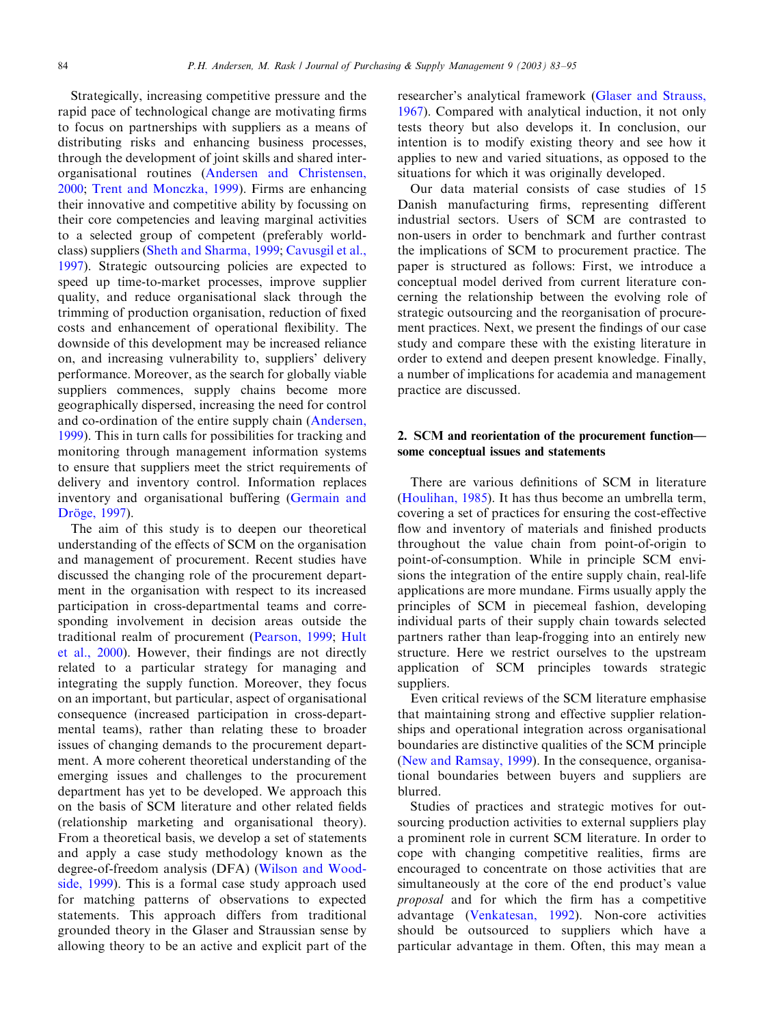Strategically, increasing competitive pressure and the rapid pace of technological change are motivating firms to focus on partnerships with suppliers as a means of distributing risks and enhancing business processes, through the development of joint skills and shared interorganisational routines [\(Andersen and Christensen,](#page--1-0) [2000;](#page--1-0) [Trent and Monczka, 1999\)](#page--1-0). Firms are enhancing their innovative and competitive ability by focussing on their core competencies and leaving marginal activities to a selected group of competent (preferably worldclass) suppliers ([Sheth and Sharma, 1999;](#page--1-0) [Cavusgil et al.,](#page--1-0) [1997\)](#page--1-0). Strategic outsourcing policies are expected to speed up time-to-market processes, improve supplier quality, and reduce organisational slack through the trimming of production organisation, reduction of fixed costs and enhancement of operational flexibility. The downside of this development may be increased reliance on, and increasing vulnerability to, suppliers' delivery performance. Moreover, as the search for globally viable suppliers commences, supply chains become more geographically dispersed, increasing the need for control and co-ordination of the entire supply chain ([Andersen,](#page--1-0) [1999\)](#page--1-0). This in turn calls for possibilities for tracking and monitoring through management information systems to ensure that suppliers meet the strict requirements of delivery and inventory control. Information replaces inventory and organisational buffering [\(Germain and](#page--1-0) Dröge, 1997).

The aim of this study is to deepen our theoretical understanding of the effects of SCM on the organisation and management of procurement. Recent studies have discussed the changing role of the procurement department in the organisation with respect to its increased participation in cross-departmental teams and corresponding involvement in decision areas outside the traditional realm of procurement ([Pearson, 1999](#page--1-0); [Hult](#page--1-0) [et al., 2000](#page--1-0)). However, their findings are not directly related to a particular strategy for managing and integrating the supply function. Moreover, they focus on an important, but particular, aspect of organisational consequence (increased participation in cross-departmental teams), rather than relating these to broader issues of changing demands to the procurement department. A more coherent theoretical understanding of the emerging issues and challenges to the procurement department has yet to be developed. We approach this on the basis of SCM literature and other related fields (relationship marketing and organisational theory). From a theoretical basis, we develop a set of statements and apply a case study methodology known as the degree-of-freedom analysis (DFA) [\(Wilson and Wood](#page--1-0)[side, 1999\)](#page--1-0). This is a formal case study approach used for matching patterns of observations to expected statements. This approach differs from traditional grounded theory in the Glaser and Straussian sense by allowing theory to be an active and explicit part of the

researcher's analytical framework [\(Glaser and Strauss,](#page--1-0) [1967\)](#page--1-0). Compared with analytical induction, it not only tests theory but also develops it. In conclusion, our intention is to modify existing theory and see how it applies to new and varied situations, as opposed to the situations for which it was originally developed.

Our data material consists of case studies of 15 Danish manufacturing firms, representing different industrial sectors. Users of SCM are contrasted to non-users in order to benchmark and further contrast the implications of SCM to procurement practice. The paper is structured as follows: First, we introduce a conceptual model derived from current literature concerning the relationship between the evolving role of strategic outsourcing and the reorganisation of procurement practices. Next, we present the findings of our case study and compare these with the existing literature in order to extend and deepen present knowledge. Finally, a number of implications for academia and management practice are discussed.

### 2. SCM and reorientation of the procurement function some conceptual issues and statements

There are various definitions of SCM in literature [\(Houlihan, 1985](#page--1-0)). It has thus become an umbrella term, covering a set of practices for ensuring the cost-effective flow and inventory of materials and finished products throughout the value chain from point-of-origin to point-of-consumption. While in principle SCM envisions the integration of the entire supply chain, real-life applications are more mundane. Firms usually apply the principles of SCM in piecemeal fashion, developing individual parts of their supply chain towards selected partners rather than leap-frogging into an entirely new structure. Here we restrict ourselves to the upstream application of SCM principles towards strategic suppliers.

Even critical reviews of the SCM literature emphasise that maintaining strong and effective supplier relationships and operational integration across organisational boundaries are distinctive qualities of the SCM principle [\(New and Ramsay, 1999](#page--1-0)). In the consequence, organisational boundaries between buyers and suppliers are blurred.

Studies of practices and strategic motives for outsourcing production activities to external suppliers play a prominent role in current SCM literature. In order to cope with changing competitive realities, firms are encouraged to concentrate on those activities that are simultaneously at the core of the end product's value proposal and for which the firm has a competitive advantage ([Venkatesan, 1992](#page--1-0)). Non-core activities should be outsourced to suppliers which have a particular advantage in them. Often, this may mean a